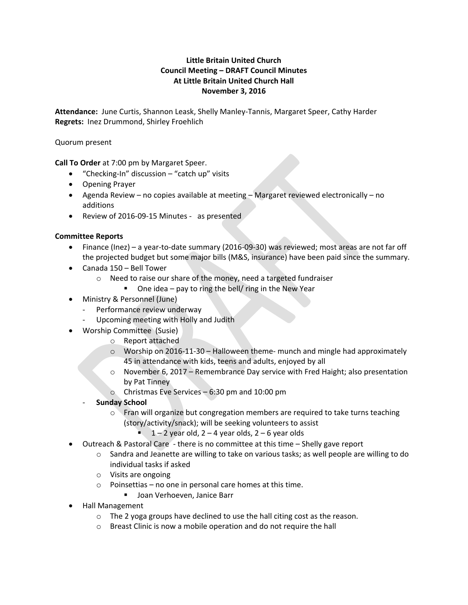# **Little Britain United Church Council Meeting – DRAFT Council Minutes At Little Britain United Church Hall November 3, 2016**

**Attendance:** June Curtis, Shannon Leask, Shelly Manley-Tannis, Margaret Speer, Cathy Harder **Regrets:** Inez Drummond, Shirley Froehlich

## Quorum present

**Call To Order** at 7:00 pm by Margaret Speer.

- "Checking-In" discussion "catch up" visits
- Opening Prayer
- Agenda Review no copies available at meeting Margaret reviewed electronically no additions
- Review of 2016-09-15 Minutes as presented

## **Committee Reports**

- Finance (Inez) a year-to-date summary (2016-09-30) was reviewed; most areas are not far off the projected budget but some major bills (M&S, insurance) have been paid since the summary.
- Canada 150 Bell Tower
	- o Need to raise our share of the money, need a targeted fundraiser
		- One idea pay to ring the bell/ ring in the New Year
- Ministry & Personnel (June)
	- Performance review underway
	- Upcoming meeting with Holly and Judith
- Worship Committee (Susie)
	- o Report attached
	- o Worship on 2016-11-30 Halloween theme- munch and mingle had approximately 45 in attendance with kids, teens and adults, enjoyed by all
	- o November 6, 2017 Remembrance Day service with Fred Haight; also presentation by Pat Tinney
	- o Christmas Eve Services 6:30 pm and 10:00 pm
	- **Sunday School**
		- $\circ$  Fran will organize but congregation members are required to take turns teaching (story/activity/snack); will be seeking volunteers to assist
			- $1 2$  year old,  $2 4$  year olds,  $2 6$  year olds
- Outreach & Pastoral Care there is no committee at this time Shelly gave report
	- $\circ$  Sandra and Jeanette are willing to take on various tasks; as well people are willing to do individual tasks if asked
	- o Visits are ongoing
	- o Poinsettias no one in personal care homes at this time.
		- **Joan Verhoeven, Janice Barr**
- Hall Management
	- o The 2 yoga groups have declined to use the hall citing cost as the reason.
	- o Breast Clinic is now a mobile operation and do not require the hall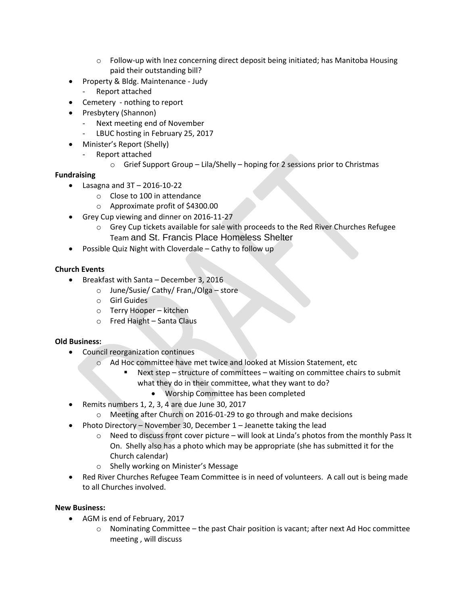- $\circ$  Follow-up with Inez concerning direct deposit being initiated; has Manitoba Housing paid their outstanding bill?
- Property & Bldg. Maintenance Judy
	- Report attached
- Cemetery nothing to report
- Presbytery (Shannon)
	- Next meeting end of November
	- LBUC hosting in February 25, 2017
- Minister's Report (Shelly)
	- Report attached
		- $\circ$  Grief Support Group Lila/Shelly hoping for 2 sessions prior to Christmas

## **Fundraising**

- $\bullet$  Lasagna and  $3T 2016 10 22$ 
	- o Close to 100 in attendance
	- o Approximate profit of \$4300.00
- Grey Cup viewing and dinner on 2016-11-27
	- o Grey Cup tickets available for sale with proceeds to the Red River Churches Refugee Team and St. Francis Place Homeless Shelter
- Possible Quiz Night with Cloverdale Cathy to follow up

# **Church Events**

- Breakfast with Santa December 3, 2016
	- o June/Susie/ Cathy/ Fran,/Olga store
	- o Girl Guides
	- o Terry Hooper kitchen
	- o Fred Haight Santa Claus

## **Old Business:**

- Council reorganization continues
	- o Ad Hoc committee have met twice and looked at Mission Statement, etc
		- Next step structure of committees waiting on committee chairs to submit what they do in their committee, what they want to do?
			- Worship Committee has been completed
- Remits numbers 1, 2, 3, 4 are due June 30, 2017
	- o Meeting after Church on 2016-01-29 to go through and make decisions
	- Photo Directory November 30, December 1 Jeanette taking the lead
		- $\circ$  Need to discuss front cover picture will look at Linda's photos from the monthly Pass It On. Shelly also has a photo which may be appropriate (she has submitted it for the Church calendar)
		- o Shelly working on Minister's Message
- Red River Churches Refugee Team Committee is in need of volunteers. A call out is being made to all Churches involved.

## **New Business:**

- AGM is end of February, 2017
	- $\circ$  Nominating Committee the past Chair position is vacant; after next Ad Hoc committee meeting , will discuss